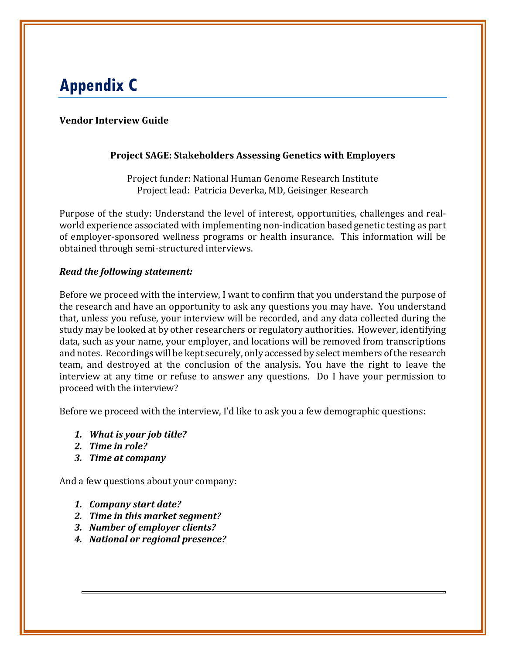# **Appendix C**

# **Vendor Interview Guide**

### **Project SAGE: Stakeholders Assessing Genetics with Employers**

Project funder: National Human Genome Research Institute Project lead: Patricia Deverka, MD, Geisinger Research

Purpose of the study: Understand the level of interest, opportunities, challenges and realworld experience associated with implementing non-indication based genetic testing as part of employer-sponsored wellness programs or health insurance. This information will be obtained through semi-structured interviews.

### *Read the following statement:*

Before we proceed with the interview, I want to confirm that you understand the purpose of the research and have an opportunity to ask any questions you may have. You understand that, unless you refuse, your interview will be recorded, and any data collected during the study may be looked at by other researchers or regulatory authorities. However, identifying data, such as your name, your employer, and locations will be removed from transcriptions and notes. Recordings will be kept securely, only accessed by select members of the research team, and destroyed at the conclusion of the analysis. You have the right to leave the interview at any time or refuse to answer any questions. Do I have your permission to proceed with the interview?

Before we proceed with the interview, I'd like to ask you a few demographic questions:

- *1. What is your job title?*
- *2. Time in role?*
- *3. Time at company*

And a few questions about your company:

- *1. Company start date?*
- *2. Time in this market segment?*
- *3. Number of employer clients?*
- *4. National or regional presence?*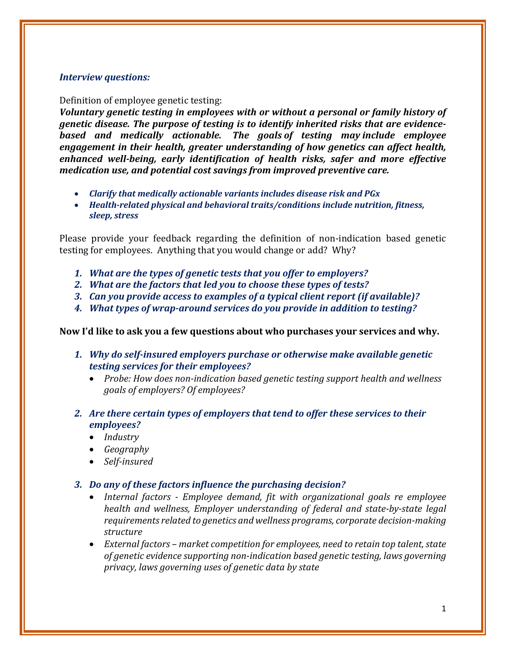### *Interview questions:*

#### Definition of employee genetic testing:

*Voluntary genetic testing in employees with or without a personal or family history of genetic disease. The purpose of testing is to identify inherited risks that are evidencebased and medically actionable. The goals of testing may include employee engagement in their health, greater understanding of how genetics can affect health, enhanced well-being, early identification of health risks, safer and more effective medication use, and potential cost savings from improved preventive care.*

- *Clarify that medically actionable variants includes disease risk and PGx*
- *Health-related physical and behavioral traits/conditions include nutrition, fitness, sleep, stress*

Please provide your feedback regarding the definition of non-indication based genetic testing for employees. Anything that you would change or add? Why?

- *1. What are the types of genetic tests that you offer to employers?*
- *2. What are the factors that led you to choose these types of tests?*
- *3. Can you provide access to examples of a typical client report (if available)?*
- *4. What types of wrap-around services do you provide in addition to testing?*

### **Now I'd like to ask you a few questions about who purchases your services and why.**

- *1. Why do self-insured employers purchase or otherwise make available genetic testing services for their employees?* 
	- *Probe: How does non-indication based genetic testing support health and wellness goals of employers? Of employees?*
- *2. Are there certain types of employers that tend to offer these services to their employees?*
	- *Industry*
	- *Geography*
	- *Self-insured*

### *3. Do any of these factors influence the purchasing decision?*

- *Internal factors - Employee demand, fit with organizational goals re employee health and wellness, Employer understanding of federal and state-by-state legal requirements related to genetics and wellness programs, corporate decision-making structure*
- *External factors – market competition for employees, need to retain top talent, state of genetic evidence supporting non-indication based genetic testing, laws governing privacy, laws governing uses of genetic data by state*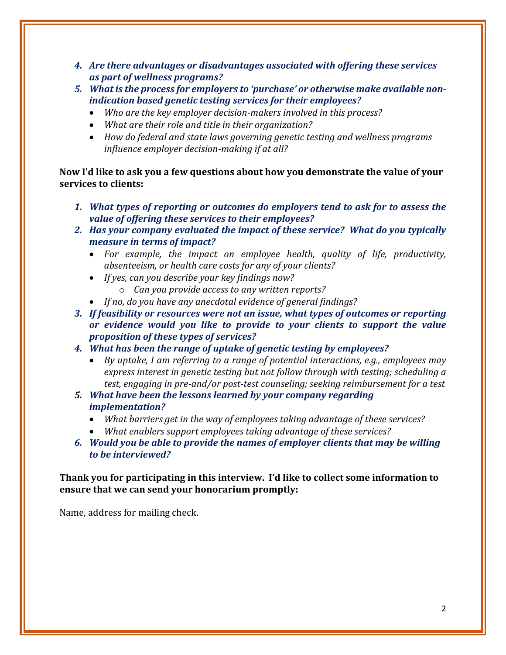- *4. Are there advantages or disadvantages associated with offering these services as part of wellness programs?*
- *5. What is the process for employers to 'purchase' or otherwise make available nonindication based genetic testing services for their employees?*
	- *Who are the key employer decision-makers involved in this process?*
	- *What are their role and title in their organization?*
	- *How do federal and state laws governing genetic testing and wellness programs influence employer decision-making if at all?*

**Now I'd like to ask you a few questions about how you demonstrate the value of your services to clients:**

- *1. What types of reporting or outcomes do employers tend to ask for to assess the value of offering these services to their employees?*
- *2. Has your company evaluated the impact of these service? What do you typically measure in terms of impact?*
	- *For example, the impact on employee health, quality of life, productivity, absenteeism, or health care costs for any of your clients?*
	- *If yes, can you describe your key findings now?*
		- o *Can you provide access to any written reports?*
	- *If no, do you have any anecdotal evidence of general findings?*

*3. If feasibility or resources were not an issue, what types of outcomes or reporting or evidence would you like to provide to your clients to support the value proposition of these types of services?*

- *4. What has been the range of uptake of genetic testing by employees?*
	- *By uptake, I am referring to a range of potential interactions, e.g., employees may express interest in genetic testing but not follow through with testing; scheduling a test, engaging in pre-and/or post-test counseling; seeking reimbursement for a test*
- *5. What have been the lessons learned by your company regarding implementation?*
	- *What barriers get in the way of employees taking advantage of these services?*
	- *What enablers support employees taking advantage of these services?*
- *6. Would you be able to provide the names of employer clients that may be willing to be interviewed?*

### **Thank you for participating in this interview. I'd like to collect some information to ensure that we can send your honorarium promptly:**

Name, address for mailing check.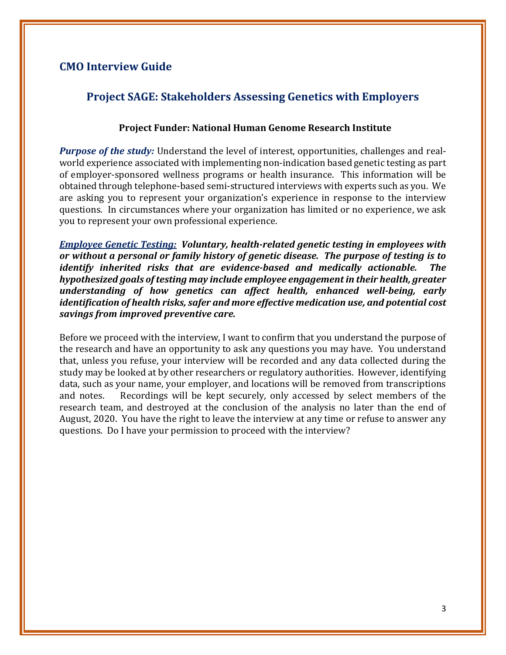# **CMO Interview Guide**

# **Project SAGE: Stakeholders Assessing Genetics with Employers**

### **Project Funder: National Human Genome Research Institute**

*Purpose of the study:* Understand the level of interest, opportunities, challenges and realworld experience associated with implementing non-indication based genetic testing as part of employer-sponsored wellness programs or health insurance. This information will be obtained through telephone-based semi-structured interviews with experts such as you. We are asking you to represent your organization's experience in response to the interview questions. In circumstances where your organization has limited or no experience, we ask you to represent your own professional experience.

*Employee Genetic Testing: Voluntary, health-related genetic testing in employees with or without a personal or family history of genetic disease. The purpose of testing is to identify inherited risks that are evidence-based and medically actionable. The hypothesized goals of testing may include employee engagement in their health, greater understanding of how genetics can affect health, enhanced well-being, early identification of health risks, safer and more effective medication use, and potential cost savings from improved preventive care.*

Before we proceed with the interview, I want to confirm that you understand the purpose of the research and have an opportunity to ask any questions you may have. You understand that, unless you refuse, your interview will be recorded and any data collected during the study may be looked at by other researchers or regulatory authorities. However, identifying data, such as your name, your employer, and locations will be removed from transcriptions<br>and notes. Recordings will be kept securely, only accessed by select members of the Recordings will be kept securely, only accessed by select members of the research team, and destroyed at the conclusion of the analysis no later than the end of August, 2020. You have the right to leave the interview at any time or refuse to answer any questions. Do I have your permission to proceed with the interview?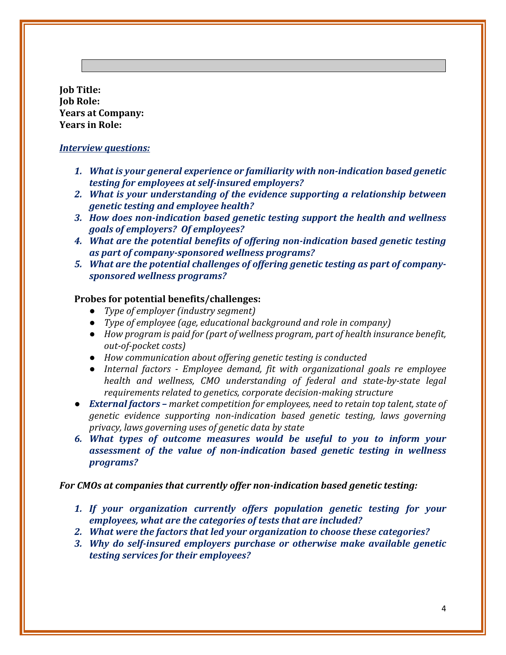**Job Title: Job Role: Years at Company: Years in Role:**

#### *Interview questions:*

- *1. What is your general experience or familiarity with non-indication based genetic testing for employees at self-insured employers?*
- *2. What is your understanding of the evidence supporting a relationship between genetic testing and employee health?*
- *3. How does non-indication based genetic testing support the health and wellness goals of employers? Of employees?*
- *4. What are the potential benefits of offering non-indication based genetic testing as part of company-sponsored wellness programs?*
- *5. What are the potential challenges of offering genetic testing as part of companysponsored wellness programs?*

### **Probes for potential benefits/challenges:**

- *Type of employer (industry segment)*
- *Type of employee (age, educational background and role in company)*
- *How program is paid for (part of wellness program, part of health insurance benefit, out-of-pocket costs)*
- *How communication about offering genetic testing is conducted*
- *Internal factors - Employee demand, fit with organizational goals re employee health and wellness, CMO understanding of federal and state-by-state legal requirements related to genetics, corporate decision-making structure*
- *External factors – market competition for employees, need to retain top talent, state of genetic evidence supporting non-indication based genetic testing, laws governing privacy, laws governing uses of genetic data by state*
- *6. What types of outcome measures would be useful to you to inform your assessment of the value of non-indication based genetic testing in wellness programs?*

#### *For CMOs at companies that currently offer non-indication based genetic testing:*

- *1. If your organization currently offers population genetic testing for your employees, what are the categories of tests that are included?*
- *2. What were the factors that led your organization to choose these categories?*
- *3. Why do self-insured employers purchase or otherwise make available genetic testing services for their employees?*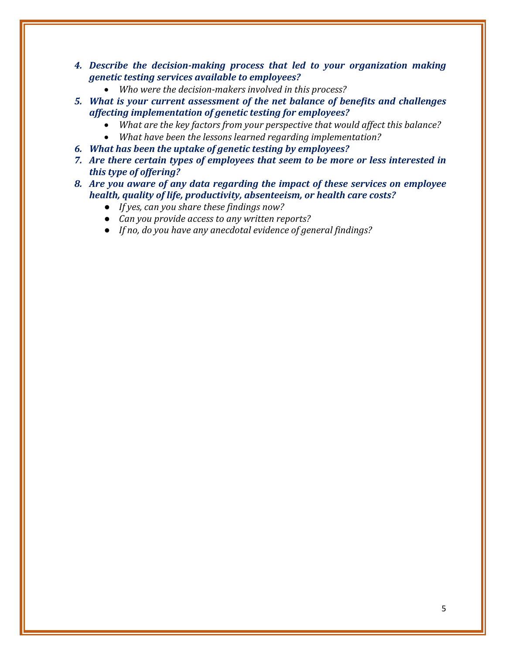- *4. Describe the decision-making process that led to your organization making genetic testing services available to employees?*
	- *Who were the decision-makers involved in this process?*
- *5. What is your current assessment of the net balance of benefits and challenges affecting implementation of genetic testing for employees?*
	- *What are the key factors from your perspective that would affect this balance?*
	- *What have been the lessons learned regarding implementation?*
- *6. What has been the uptake of genetic testing by employees?*
- *7. Are there certain types of employees that seem to be more or less interested in this type of offering?*
- *8. Are you aware of any data regarding the impact of these services on employee health, quality of life, productivity, absenteeism, or health care costs?* 
	- *If yes, can you share these findings now?*
	- *Can you provide access to any written reports?*
	- *If no, do you have any anecdotal evidence of general findings?*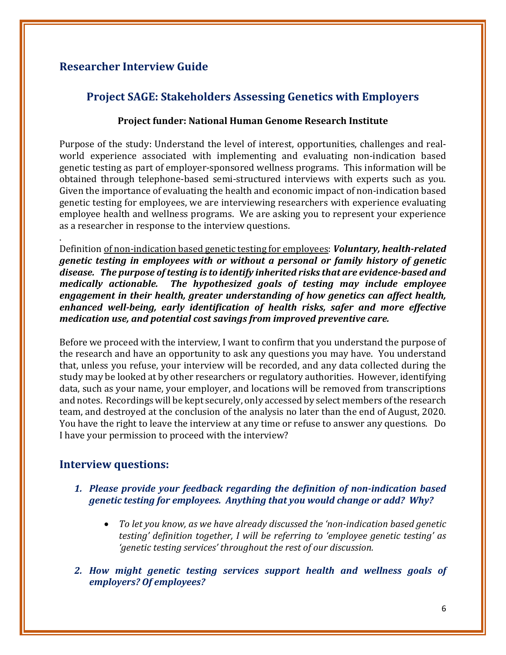# **Researcher Interview Guide**

# **Project SAGE: Stakeholders Assessing Genetics with Employers**

### **Project funder: National Human Genome Research Institute**

Purpose of the study: Understand the level of interest, opportunities, challenges and realworld experience associated with implementing and evaluating non-indication based genetic testing as part of employer-sponsored wellness programs. This information will be obtained through telephone-based semi-structured interviews with experts such as you. Given the importance of evaluating the health and economic impact of non-indication based genetic testing for employees, we are interviewing researchers with experience evaluating employee health and wellness programs. We are asking you to represent your experience as a researcher in response to the interview questions.

. Definition of non-indication based genetic testing for employees: *Voluntary, health-related genetic testing in employees with or without a personal or family history of genetic disease. The purpose of testing is to identify inherited risks that are evidence-based and medically actionable. The hypothesized goals of testing may include employee engagement in their health, greater understanding of how genetics can affect health, enhanced well-being, early identification of health risks, safer and more effective medication use, and potential cost savings from improved preventive care.*

Before we proceed with the interview, I want to confirm that you understand the purpose of the research and have an opportunity to ask any questions you may have. You understand that, unless you refuse, your interview will be recorded, and any data collected during the study may be looked at by other researchers or regulatory authorities. However, identifying data, such as your name, your employer, and locations will be removed from transcriptions and notes. Recordings will be kept securely, only accessed by select members of the research team, and destroyed at the conclusion of the analysis no later than the end of August, 2020. You have the right to leave the interview at any time or refuse to answer any questions. Do I have your permission to proceed with the interview?

# **Interview questions:**

# *1. Please provide your feedback regarding the definition of non-indication based genetic testing for employees. Anything that you would change or add? Why?*

- *To let you know, as we have already discussed the 'non-indication based genetic testing' definition together, I will be referring to 'employee genetic testing' as 'genetic testing services' throughout the rest of our discussion.*
- *2. How might genetic testing services support health and wellness goals of employers? Of employees?*